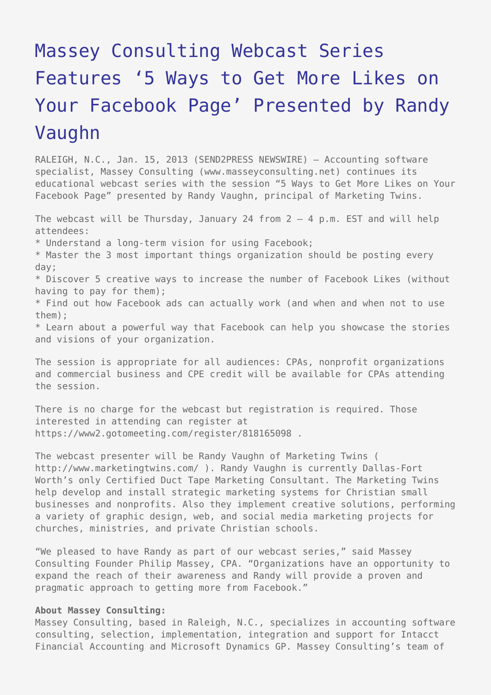## [Massey Consulting Webcast Series](https://www.send2press.com/wire/massey-consulting-webcast-series-features-5-ways-to-get-more-likes-on-your-facebook-page-presented-by-randy-vaughn_2013-01-0115-001/) [Features '5 Ways to Get More Likes on](https://www.send2press.com/wire/massey-consulting-webcast-series-features-5-ways-to-get-more-likes-on-your-facebook-page-presented-by-randy-vaughn_2013-01-0115-001/) [Your Facebook Page' Presented by Randy](https://www.send2press.com/wire/massey-consulting-webcast-series-features-5-ways-to-get-more-likes-on-your-facebook-page-presented-by-randy-vaughn_2013-01-0115-001/) [Vaughn](https://www.send2press.com/wire/massey-consulting-webcast-series-features-5-ways-to-get-more-likes-on-your-facebook-page-presented-by-randy-vaughn_2013-01-0115-001/)

RALEIGH, N.C., Jan. 15, 2013 (SEND2PRESS NEWSWIRE) — Accounting software specialist, Massey Consulting (www.masseyconsulting.net) continues its educational webcast series with the session "5 Ways to Get More Likes on Your Facebook Page" presented by Randy Vaughn, principal of Marketing Twins.

The webcast will be Thursday, January 24 from  $2 - 4$  p.m. EST and will help attendees: \* Understand a long-term vision for using Facebook; \* Master the 3 most important things organization should be posting every day; \* Discover 5 creative ways to increase the number of Facebook Likes (without having to pay for them); \* Find out how Facebook ads can actually work (and when and when not to use them); \* Learn about a powerful way that Facebook can help you showcase the stories and visions of your organization.

The session is appropriate for all audiences: CPAs, nonprofit organizations and commercial business and CPE credit will be available for CPAs attending the session.

There is no charge for the webcast but registration is required. Those interested in attending can register at https://www2.gotomeeting.com/register/818165098 .

The webcast presenter will be Randy Vaughn of Marketing Twins ( http://www.marketingtwins.com/ ). Randy Vaughn is currently Dallas-Fort Worth's only Certified Duct Tape Marketing Consultant. The Marketing Twins help develop and install strategic marketing systems for Christian small businesses and nonprofits. Also they implement creative solutions, performing a variety of graphic design, web, and social media marketing projects for churches, ministries, and private Christian schools.

"We pleased to have Randy as part of our webcast series," said Massey Consulting Founder Philip Massey, CPA. "Organizations have an opportunity to expand the reach of their awareness and Randy will provide a proven and pragmatic approach to getting more from Facebook."

## **About Massey Consulting:**

Massey Consulting, based in Raleigh, N.C., specializes in accounting software consulting, selection, implementation, integration and support for Intacct Financial Accounting and Microsoft Dynamics GP. Massey Consulting's team of